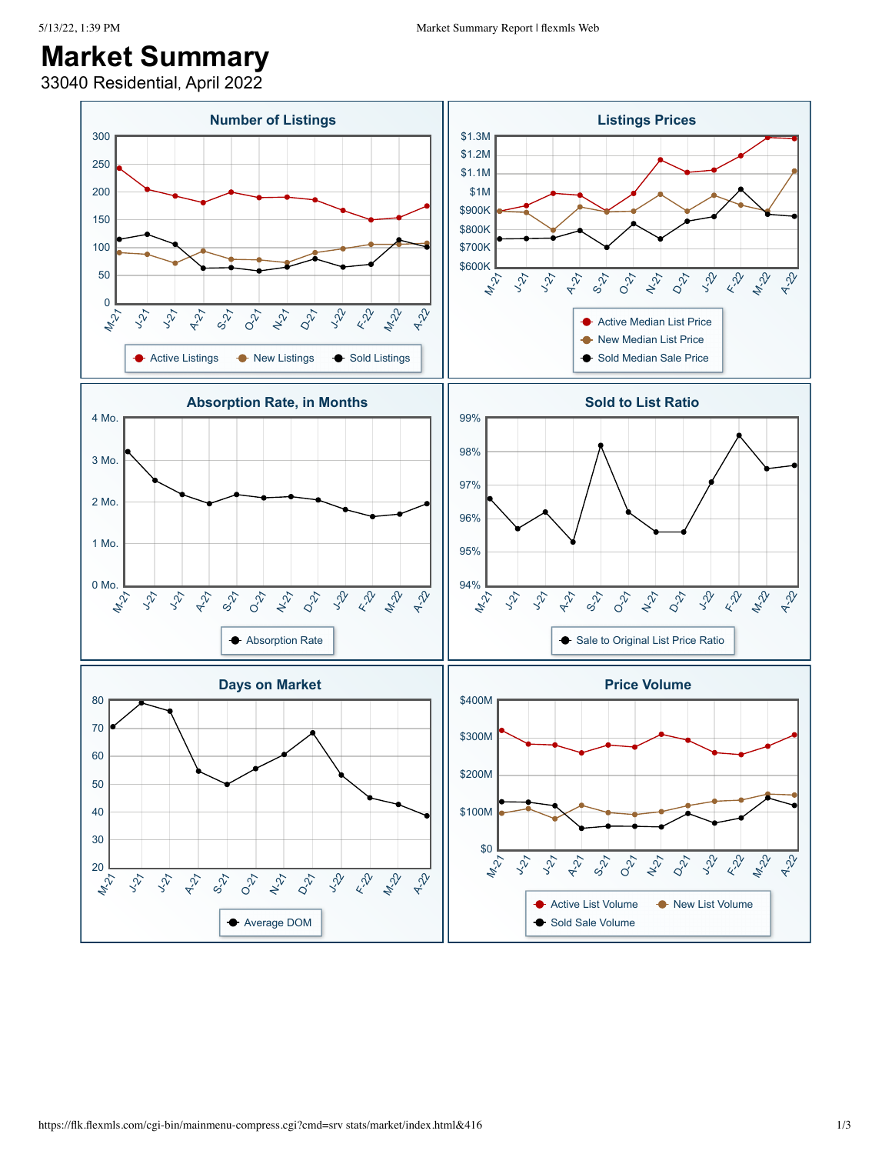## **Market Summary**

33040 Residential, April 2022

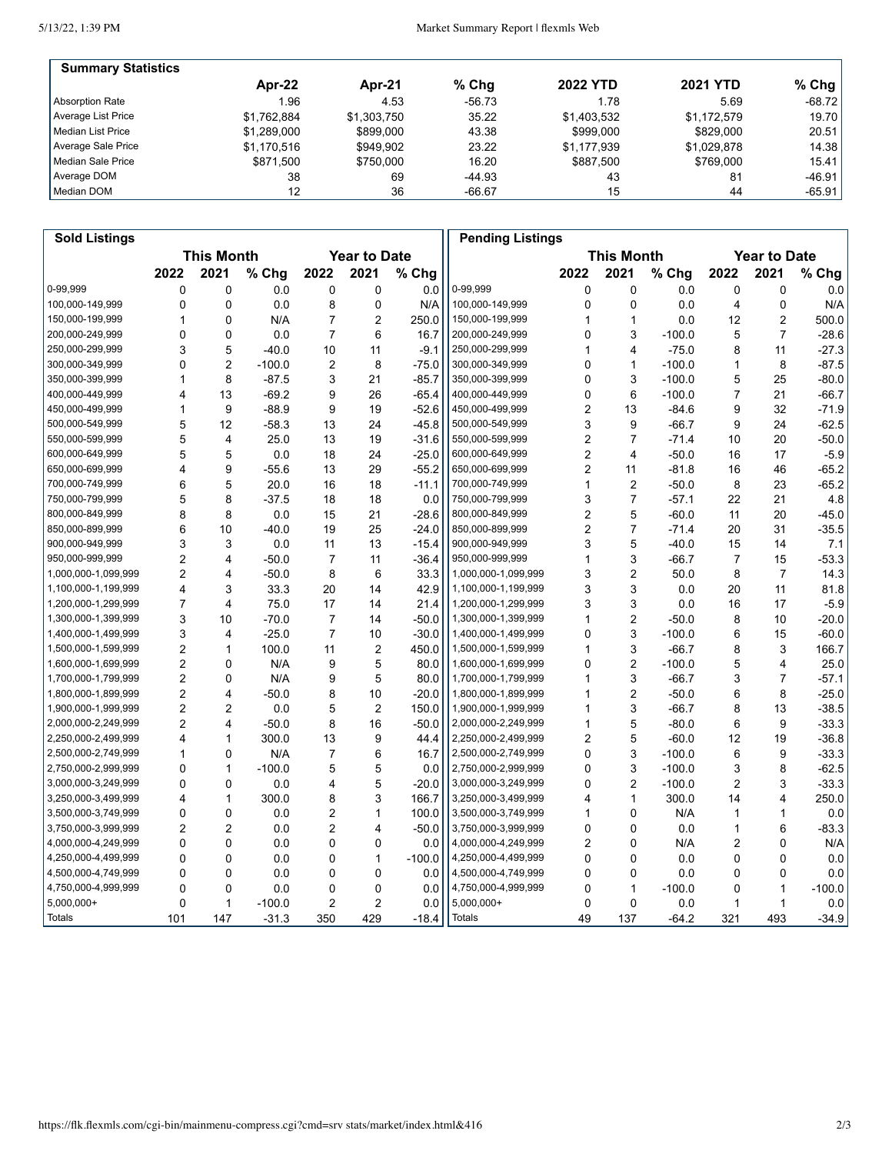5/13/22, 1:39 PM

| <b>Summary Statistics</b> |             |             |          |                 |                 |           |
|---------------------------|-------------|-------------|----------|-----------------|-----------------|-----------|
|                           | Apr-22      | Apr-21      | $%$ Chg  | <b>2022 YTD</b> | <b>2021 YTD</b> | % Chg $ $ |
| Absorption Rate           | 1.96        | 4.53        | $-56.73$ | 1.78            | 5.69            | $-68.72$  |
| Average List Price        | \$1.762.884 | \$1.303.750 | 35.22    | \$1.403.532     | \$1.172.579     | 19.70     |
| Median List Price         | \$1.289.000 | \$899,000   | 43.38    | \$999,000       | \$829,000       | 20.51     |
| Average Sale Price        | \$1.170.516 | \$949.902   | 23.22    | \$1,177,939     | \$1,029,878     | 14.38     |
| Median Sale Price         | \$871.500   | \$750,000   | 16.20    | \$887.500       | \$769,000       | 15.41     |
| Average DOM               | 38          | 69          | -44.93   | 43              | 81              | $-46.91$  |
| Median DOM                | 12          | 36          | $-66.67$ | 15              | 44              | $-65.91$  |

| <b>Sold Listings</b> |                                          |                         |          |                |                |                   | <b>Pending Listings</b> |                |                         |          |                     |                |          |
|----------------------|------------------------------------------|-------------------------|----------|----------------|----------------|-------------------|-------------------------|----------------|-------------------------|----------|---------------------|----------------|----------|
|                      | <b>This Month</b><br><b>Year to Date</b> |                         |          |                |                | <b>This Month</b> |                         |                |                         |          | <b>Year to Date</b> |                |          |
|                      | 2022                                     | 2021                    | % Chg    | 2022           | 2021           | % Chg             |                         | 2022           | 2021                    | % Chg    | 2022                | 2021           | $%$ Chg  |
| 0-99,999             | 0                                        | 0                       | 0.0      | 0              | 0              | 0.0               | 0-99,999                | 0              | 0                       | 0.0      | 0                   | 0              | 0.0      |
| 100,000-149,999      | 0                                        | 0                       | 0.0      | 8              | 0              | N/A               | 100,000-149,999         | 0              | 0                       | 0.0      | 4                   | $\mathbf 0$    | N/A      |
| 150,000-199,999      | 1                                        | 0                       | N/A      | 7              | 2              | 250.0             | 150,000-199,999         | 1              | 1                       | 0.0      | 12                  | $\overline{2}$ | 500.0    |
| 200,000-249,999      | 0                                        | 0                       | 0.0      | 7              | 6              | 16.7              | 200,000-249,999         | 0              | 3                       | $-100.0$ | 5                   | $\overline{7}$ | $-28.6$  |
| 250,000-299,999      | 3                                        | 5                       | $-40.0$  | 10             | 11             | $-9.1$            | 250,000-299,999         | 1              | $\overline{\mathbf{4}}$ | $-75.0$  | 8                   | 11             | $-27.3$  |
| 300,000-349,999      | 0                                        | $\overline{2}$          | $-100.0$ | 2              | 8              | $-75.0$           | 300,000-349,999         | 0              | 1                       | $-100.0$ | 1                   | 8              | $-87.5$  |
| 350,000-399,999      | 1                                        | 8                       | $-87.5$  | 3              | 21             | $-85.7$           | 350,000-399,999         | 0              | 3                       | $-100.0$ | 5                   | 25             | $-80.0$  |
| 400,000-449,999      | 4                                        | 13                      | $-69.2$  | 9              | 26             | $-65.4$           | 400,000-449,999         | 0              | 6                       | $-100.0$ | $\overline{7}$      | 21             | $-66.7$  |
| 450,000-499,999      | 1                                        | 9                       | $-88.9$  | 9              | 19             | $-52.6$           | 450,000-499,999         | $\overline{c}$ | 13                      | $-84.6$  | 9                   | 32             | $-71.9$  |
| 500,000-549,999      | 5                                        | 12                      | $-58.3$  | 13             | 24             | $-45.8$           | 500,000-549,999         | 3              | 9                       | -66.7    | 9                   | 24             | $-62.5$  |
| 550,000-599,999      | 5                                        | $\overline{4}$          | 25.0     | 13             | 19             | $-31.6$           | 550,000-599,999         | 2              | $\overline{7}$          | $-71.4$  | 10                  | 20             | $-50.0$  |
| 600,000-649,999      | 5                                        | 5                       | 0.0      | 18             | 24             | $-25.0$           | 600,000-649,999         | $\overline{c}$ | $\overline{4}$          | $-50.0$  | 16                  | 17             | $-5.9$   |
| 650,000-699,999      | 4                                        | 9                       | $-55.6$  | 13             | 29             | $-55.2$           | 650,000-699,999         | 2              | 11                      | $-81.8$  | 16                  | 46             | $-65.2$  |
| 700,000-749,999      | 6                                        | 5                       | 20.0     | 16             | 18             | $-11.1$           | 700,000-749,999         | 1              | $\overline{2}$          | $-50.0$  | 8                   | 23             | $-65.2$  |
| 750,000-799,999      | 5                                        | 8                       | $-37.5$  | 18             | 18             | 0.0               | 750,000-799,999         | 3              | $\overline{7}$          | $-57.1$  | 22                  | 21             | 4.8      |
| 800,000-849,999      | 8                                        | 8                       | 0.0      | 15             | 21             | $-28.6$           | 800,000-849,999         | 2              | 5                       | $-60.0$  | 11                  | 20             | $-45.0$  |
| 850,000-899,999      | 6                                        | 10                      | $-40.0$  | 19             | 25             | $-24.0$           | 850,000-899,999         | 2              | $\overline{7}$          | $-71.4$  | 20                  | 31             | $-35.5$  |
| 900,000-949,999      | 3                                        | 3                       | 0.0      | 11             | 13             | $-15.4$           | 900,000-949,999         | 3              | 5                       | $-40.0$  | 15                  | 14             | 7.1      |
| 950,000-999,999      | $\overline{2}$                           | 4                       | $-50.0$  | $\overline{7}$ | 11             | $-36.4$           | 950,000-999,999         | 1              | 3                       | $-66.7$  | $\overline{7}$      | 15             | $-53.3$  |
| 1,000,000-1,099,999  | $\overline{2}$                           | 4                       | $-50.0$  | 8              | 6              | 33.3              | 1,000,000-1,099,999     | 3              | $\overline{c}$          | 50.0     | 8                   | $\overline{7}$ | 14.3     |
| 1,100,000-1,199,999  | 4                                        | 3                       | 33.3     | 20             | 14             | 42.9              | 1,100,000-1,199,999     | 3              | 3                       | 0.0      | 20                  | 11             | 81.8     |
| 1,200,000-1,299,999  | $\overline{7}$                           | $\overline{\mathbf{4}}$ | 75.0     | 17             | 14             | 21.4              | 1,200,000-1,299,999     | 3              | 3                       | 0.0      | 16                  | 17             | $-5.9$   |
| 1,300,000-1,399,999  | 3                                        | 10                      | $-70.0$  | $\overline{7}$ | 14             | $-50.0$           | 1,300,000-1,399,999     | 1              | $\overline{2}$          | $-50.0$  | 8                   | 10             | $-20.0$  |
| 1,400,000-1,499,999  | 3                                        | 4                       | $-25.0$  | $\overline{7}$ | 10             | $-30.0$           | 1,400,000-1,499,999     | 0              | 3                       | $-100.0$ | 6                   | 15             | $-60.0$  |
| 1,500,000-1,599,999  | $\overline{c}$                           | 1                       | 100.0    | 11             | 2              | 450.0             | 1,500,000-1,599,999     | 1              | $\mathsf 3$             | $-66.7$  | 8                   | 3              | 166.7    |
| 1,600,000-1,699,999  | $\overline{2}$                           | 0                       | N/A      | 9              | 5              | 80.0              | 1,600,000-1,699,999     | 0              | $\overline{2}$          | $-100.0$ | 5                   | 4              | 25.0     |
| 1,700,000-1,799,999  | $\overline{c}$                           | 0                       | N/A      | 9              | 5              | 80.0              | 1,700,000-1,799,999     | 1              | 3                       | $-66.7$  | 3                   | $\overline{7}$ | $-57.1$  |
| 1,800,000-1,899,999  | $\overline{2}$                           | 4                       | $-50.0$  | 8              | 10             | $-20.0$           | 1,800,000-1,899,999     | 1              | $\overline{2}$          | $-50.0$  | 6                   | 8              | $-25.0$  |
| 1,900,000-1,999,999  | 2                                        | 2                       | 0.0      | 5              | $\overline{2}$ | 150.0             | 1,900,000-1,999,999     | 1              | 3                       | $-66.7$  | 8                   | 13             | $-38.5$  |
| 2,000,000-2,249,999  | $\overline{2}$                           | 4                       | $-50.0$  | 8              | 16             | $-50.0$           | 2,000,000-2,249,999     | 1              | 5                       | $-80.0$  | 6                   | 9              | $-33.3$  |
| 2,250,000-2,499,999  | 4                                        | 1                       | 300.0    | 13             | 9              | 44.4              | 2,250,000-2,499,999     | 2              | 5                       | $-60.0$  | 12                  | 19             | $-36.8$  |
| 2,500,000-2,749,999  | 1                                        | 0                       | N/A      | 7              | 6              | 16.7              | 2,500,000-2,749,999     | 0              | 3                       | $-100.0$ | 6                   | 9              | $-33.3$  |
| 2,750,000-2,999,999  | 0                                        | 1                       | $-100.0$ | 5              | 5              | 0.0               | 2,750,000-2,999,999     | 0              | 3                       | $-100.0$ | 3                   | 8              | $-62.5$  |
| 3,000,000-3,249,999  | 0                                        | 0                       | 0.0      | 4              | 5              | $-20.0$           | 3,000,000-3,249,999     | 0              | $\overline{c}$          | $-100.0$ | 2                   | 3              | $-33.3$  |
| 3,250,000-3,499,999  | 4                                        | 1                       | 300.0    | 8              | 3              | 166.7             | 3,250,000-3,499,999     | 4              | $\mathbf{1}$            | 300.0    | 14                  | 4              | 250.0    |
| 3,500,000-3,749,999  | 0                                        | 0                       | 0.0      | 2              | 1              | 100.0             | 3,500,000-3,749,999     | 1              | $\Omega$                | N/A      | 1                   | 1              | 0.0      |
| 3,750,000-3,999,999  | $\overline{2}$                           | $\overline{2}$          | 0.0      | 2              | 4              | $-50.0$           | 3,750,000-3,999,999     | 0              | 0                       | 0.0      | 1                   | 6              | $-83.3$  |
| 4,000,000-4,249,999  | 0                                        | 0                       | 0.0      | 0              | 0              | 0.0               | 4,000,000-4,249,999     | 2              | 0                       | N/A      | 2                   | 0              | N/A      |
| 4,250,000-4,499,999  | 0                                        | $\mathbf{0}$            | 0.0      | 0              | $\mathbf{1}$   | $-100.0$          | 4,250,000-4,499,999     | 0              | $\Omega$                | 0.0      | 0                   | $\mathbf{0}$   | 0.0      |
| 4,500,000-4,749,999  | 0                                        | 0                       | 0.0      | 0              | $\mathbf 0$    | 0.0               | 4,500,000-4,749,999     | 0              | 0                       | 0.0      | 0                   | $\mathbf 0$    | 0.0      |
| 4,750,000-4,999,999  | 0                                        | 0                       | 0.0      | 0              | 0              | 0.0               | 4,750,000-4,999,999     | 0              | 1                       | $-100.0$ | 0                   | 1              | $-100.0$ |
| $5,000,000+$         | 0                                        | 1                       | $-100.0$ | 2              | 2              | 0.0               | 5,000,000+              | 0              | 0                       | 0.0      | 1                   | 1              | 0.0      |
| Totals               | 101                                      | 147                     | $-31.3$  | 350            | 429            | $-18.4$           | Totals                  | 49             | 137                     | $-64.2$  | 321                 | 493            | $-34.9$  |